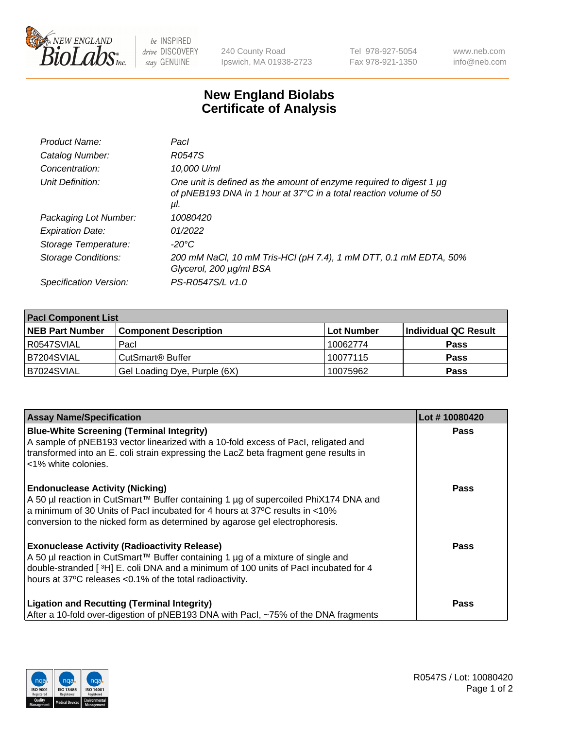

 $be$  INSPIRED drive DISCOVERY stay GENUINE

240 County Road Ipswich, MA 01938-2723 Tel 978-927-5054 Fax 978-921-1350 www.neb.com info@neb.com

## **New England Biolabs Certificate of Analysis**

| Product Name:           | Pacl                                                                                                                                            |
|-------------------------|-------------------------------------------------------------------------------------------------------------------------------------------------|
| Catalog Number:         | R0547S                                                                                                                                          |
| Concentration:          | 10,000 U/ml                                                                                                                                     |
| Unit Definition:        | One unit is defined as the amount of enzyme required to digest 1 µg<br>of pNEB193 DNA in 1 hour at 37°C in a total reaction volume of 50<br>μI. |
| Packaging Lot Number:   | 10080420                                                                                                                                        |
| <b>Expiration Date:</b> | 01/2022                                                                                                                                         |
| Storage Temperature:    | $-20^{\circ}$ C                                                                                                                                 |
| Storage Conditions:     | 200 mM NaCl, 10 mM Tris-HCl (pH 7.4), 1 mM DTT, 0.1 mM EDTA, 50%<br>Glycerol, 200 µg/ml BSA                                                     |
| Specification Version:  | PS-R0547S/L v1.0                                                                                                                                |

| <b>Pacl Component List</b> |                              |             |                      |  |  |
|----------------------------|------------------------------|-------------|----------------------|--|--|
| <b>NEB Part Number</b>     | <b>Component Description</b> | ∣Lot Number | Individual QC Result |  |  |
| R0547SVIAL                 | Pacl                         | 10062774    | <b>Pass</b>          |  |  |
| B7204SVIAL                 | CutSmart <sup>®</sup> Buffer | 10077115    | <b>Pass</b>          |  |  |
| B7024SVIAL                 | Gel Loading Dye, Purple (6X) | 10075962    | <b>Pass</b>          |  |  |

| <b>Assay Name/Specification</b>                                                                                                                                                                                                                                                             | Lot #10080420 |
|---------------------------------------------------------------------------------------------------------------------------------------------------------------------------------------------------------------------------------------------------------------------------------------------|---------------|
| <b>Blue-White Screening (Terminal Integrity)</b><br>A sample of pNEB193 vector linearized with a 10-fold excess of Pacl, religated and<br>transformed into an E. coli strain expressing the LacZ beta fragment gene results in<br><1% white colonies.                                       | <b>Pass</b>   |
| <b>Endonuclease Activity (Nicking)</b><br>A 50 µl reaction in CutSmart™ Buffer containing 1 µg of supercoiled PhiX174 DNA and<br>a minimum of 30 Units of Pacl incubated for 4 hours at 37°C results in <10%<br>conversion to the nicked form as determined by agarose gel electrophoresis. | <b>Pass</b>   |
| <b>Exonuclease Activity (Radioactivity Release)</b><br>A 50 µl reaction in CutSmart™ Buffer containing 1 µg of a mixture of single and<br>double-stranded [3H] E. coli DNA and a minimum of 100 units of Pacl incubated for 4<br>hours at 37°C releases <0.1% of the total radioactivity.   | Pass          |
| <b>Ligation and Recutting (Terminal Integrity)</b><br>After a 10-fold over-digestion of pNEB193 DNA with Pacl, ~75% of the DNA fragments                                                                                                                                                    | <b>Pass</b>   |